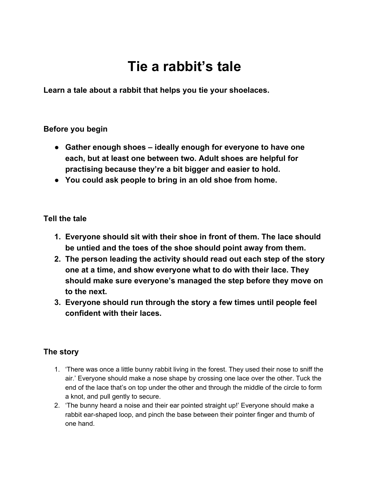## **Tie a rabbit's tale**

**Learn a tale about a rabbit that helps you tie your shoelaces.**

## **Before you begin**

- **● Gather enough shoes – ideally enough for everyone to have one each, but at least one between two. Adult shoes are helpful for practising because they're a bit bigger and easier to hold.**
- **● You could ask people to bring in an old shoe from home.**

## **Tell the tale**

- **1. Everyone should sit with their shoe in front of them. The lace should be untied and the toes of the shoe should point away from them.**
- **2. The person leading the activity should read out each step of the story one at a time, and show everyone what to do with their lace. They should make sure everyone's managed the step before they move on to the next.**
- **3. Everyone should run through the story a few times until people feel confident with their laces.**

## **The story**

- 1. 'There was once a little bunny rabbit living in the forest. They used their nose to sniff the air.' Everyone should make a nose shape by crossing one lace over the other. Tuck the end of the lace that's on top under the other and through the middle of the circle to form a knot, and pull gently to secure.
- 2. The bunny heard a noise and their ear pointed straight up!' Everyone should make a rabbit ear-shaped loop, and pinch the base between their pointer finger and thumb of one hand.